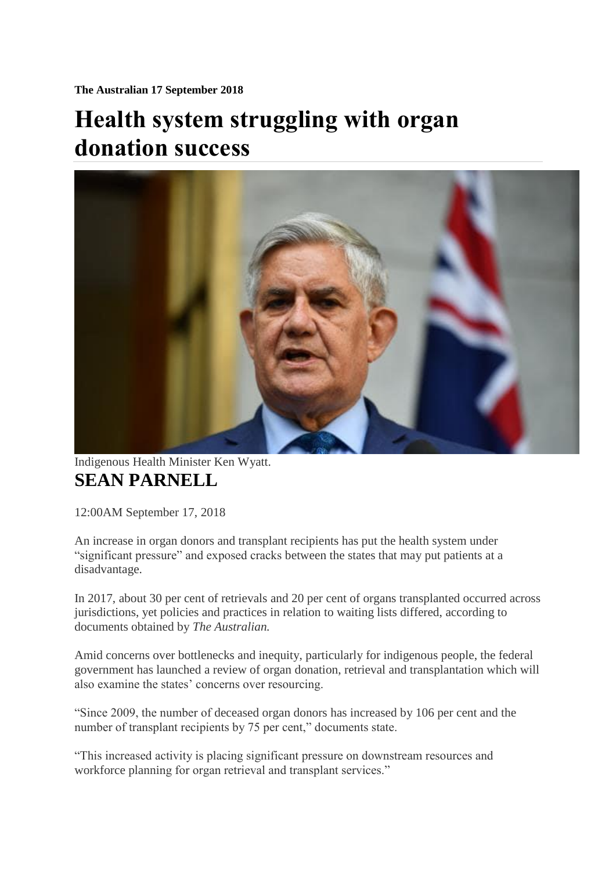**The Australian 17 September 2018**

## **Health system struggling with organ donation success**



Indigenous Health Minister Ken Wyatt. **[SEAN PARNELL](https://www.theaustralian.com.au/author/Sean+Parnell)**

12:00AM September 17, 2018

An increase in organ donors and transplant recipients has put the health system under "significant pressure" and exposed cracks between the states that may put patients at a disadvantage.

In 2017, about 30 per cent of retrievals and 20 per cent of organs transplanted occurred across jurisdictions, yet policies and practices in relation to waiting lists differed, according to documents obtained by *The Australian.*

Amid concerns over bottlenecks and inequity, particularly for indigenous people, the federal government has launched a review of organ donation, retrieval and transplantation which will also examine the states' concerns over resourcing.

"Since 2009, the number of deceased organ donors has increased by 106 per cent and the number of transplant recipients by 75 per cent," documents state.

"This increased activity is placing significant pressure on downstream resources and workforce planning for organ retrieval and transplant services."